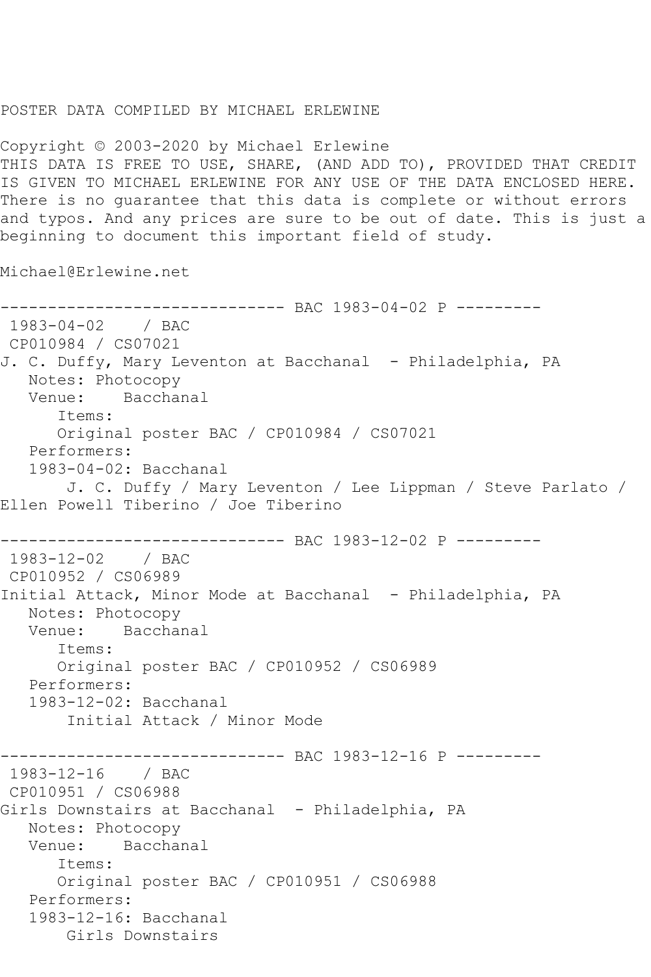## POSTER DATA COMPILED BY MICHAEL ERLEWINE

Copyright © 2003-2020 by Michael Erlewine THIS DATA IS FREE TO USE, SHARE, (AND ADD TO), PROVIDED THAT CREDIT IS GIVEN TO MICHAEL ERLEWINE FOR ANY USE OF THE DATA ENCLOSED HERE. There is no guarantee that this data is complete or without errors and typos. And any prices are sure to be out of date. This is just a beginning to document this important field of study.

Michael@Erlewine.net

```
------------------------------ BAC 1983-04-02 P ---------
1983-04-02 / BAC 
CP010984 / CS07021
J. C. Duffy, Mary Leventon at Bacchanal - Philadelphia, PA
   Notes: Photocopy
   Venue: Bacchanal
       Items:
       Original poster BAC / CP010984 / CS07021
   Performers:
   1983-04-02: Bacchanal
        J. C. Duffy / Mary Leventon / Lee Lippman / Steve Parlato / 
Ellen Powell Tiberino / Joe Tiberino
             ------------------------------ BAC 1983-12-02 P ---------
1983-12-02 / BAC 
CP010952 / CS06989
Initial Attack, Minor Mode at Bacchanal - Philadelphia, PA
   Notes: Photocopy
   Venue: Bacchanal
       Items:
       Original poster BAC / CP010952 / CS06989
   Performers:
   1983-12-02: Bacchanal
        Initial Attack / Minor Mode
------------------------------ BAC 1983-12-16 P ---------
1983-12-16 / BAC 
CP010951 / CS06988
Girls Downstairs at Bacchanal - Philadelphia, PA
   Notes: Photocopy
   Venue: Bacchanal
       Items:
      Original poster BAC / CP010951 / CS06988
   Performers:
   1983-12-16: Bacchanal
       Girls Downstairs
```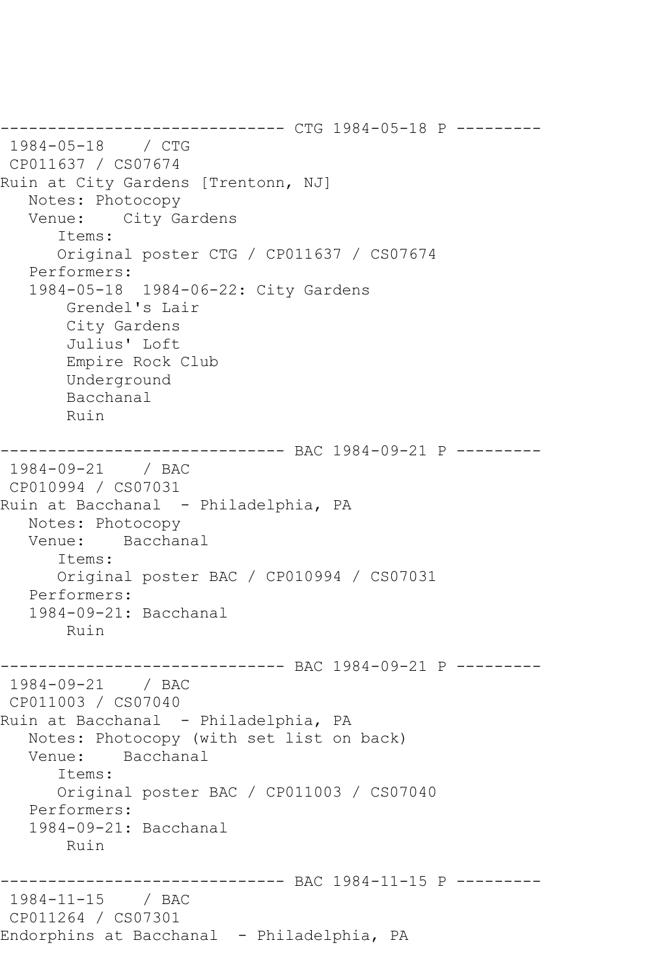------------------------------ CTG 1984-05-18 P --------- 1984-05-18 / CTG CP011637 / CS07674 Ruin at City Gardens [Trentonn, NJ] Notes: Photocopy Venue: City Gardens Items: Original poster CTG / CP011637 / CS07674 Performers: 1984-05-18 1984-06-22: City Gardens Grendel's Lair City Gardens Julius' Loft Empire Rock Club Underground Bacchanal Ruin ------------------------------ BAC 1984-09-21 P --------- 1984-09-21 / BAC CP010994 / CS07031 Ruin at Bacchanal - Philadelphia, PA Notes: Photocopy Venue: Bacchanal Items: Original poster BAC / CP010994 / CS07031 Performers: 1984-09-21: Bacchanal Ruin ------------------------------ BAC 1984-09-21 P --------- 1984-09-21 / BAC CP011003 / CS07040 Ruin at Bacchanal - Philadelphia, PA Notes: Photocopy (with set list on back)<br>Venue: Bacchanal Bacchanal Items: Original poster BAC / CP011003 / CS07040 Performers: 1984-09-21: Bacchanal Ruin ------------------------------ BAC 1984-11-15 P --------- 1984-11-15 / BAC CP011264 / CS07301 Endorphins at Bacchanal - Philadelphia, PA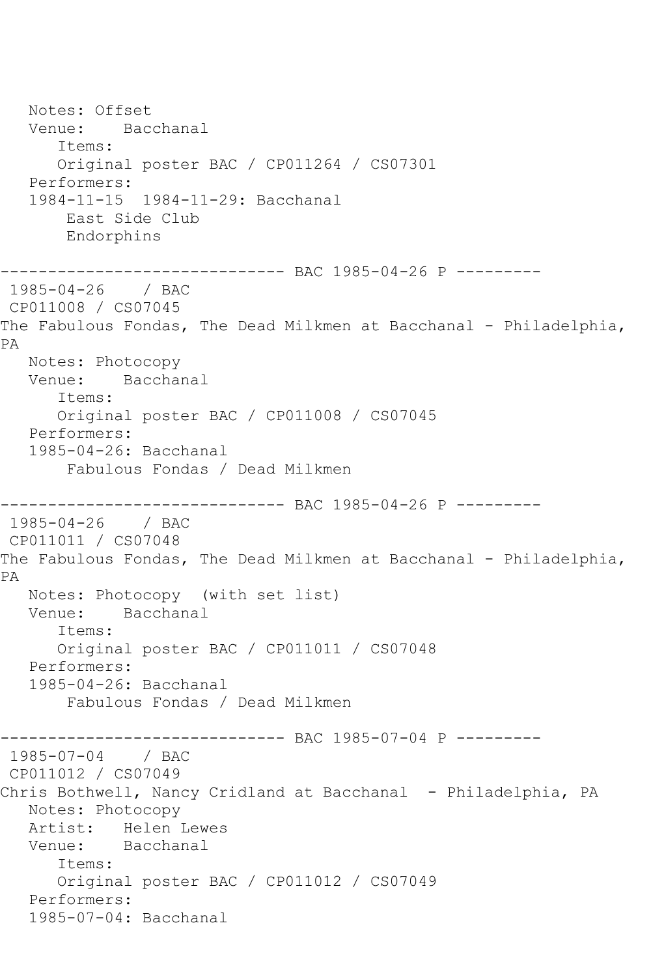Notes: Offset Venue: Bacchanal Items: Original poster BAC / CP011264 / CS07301 Performers: 1984-11-15 1984-11-29: Bacchanal East Side Club Endorphins ------------------------------ BAC 1985-04-26 P --------- 1985-04-26 / BAC CP011008 / CS07045 The Fabulous Fondas, The Dead Milkmen at Bacchanal - Philadelphia, PA Notes: Photocopy Venue: Bacchanal Items: Original poster BAC / CP011008 / CS07045 Performers: 1985-04-26: Bacchanal Fabulous Fondas / Dead Milkmen ------------------------------ BAC 1985-04-26 P --------- 1985-04-26 / BAC CP011011 / CS07048 The Fabulous Fondas, The Dead Milkmen at Bacchanal - Philadelphia, PA Notes: Photocopy (with set list) Venue: Bacchanal Items: Original poster BAC / CP011011 / CS07048 Performers: 1985-04-26: Bacchanal Fabulous Fondas / Dead Milkmen ------------------------------ BAC 1985-07-04 P --------- 1985-07-04 / BAC CP011012 / CS07049 Chris Bothwell, Nancy Cridland at Bacchanal - Philadelphia, PA Notes: Photocopy Artist: Helen Lewes Venue: Bacchanal Items: Original poster BAC / CP011012 / CS07049 Performers: 1985-07-04: Bacchanal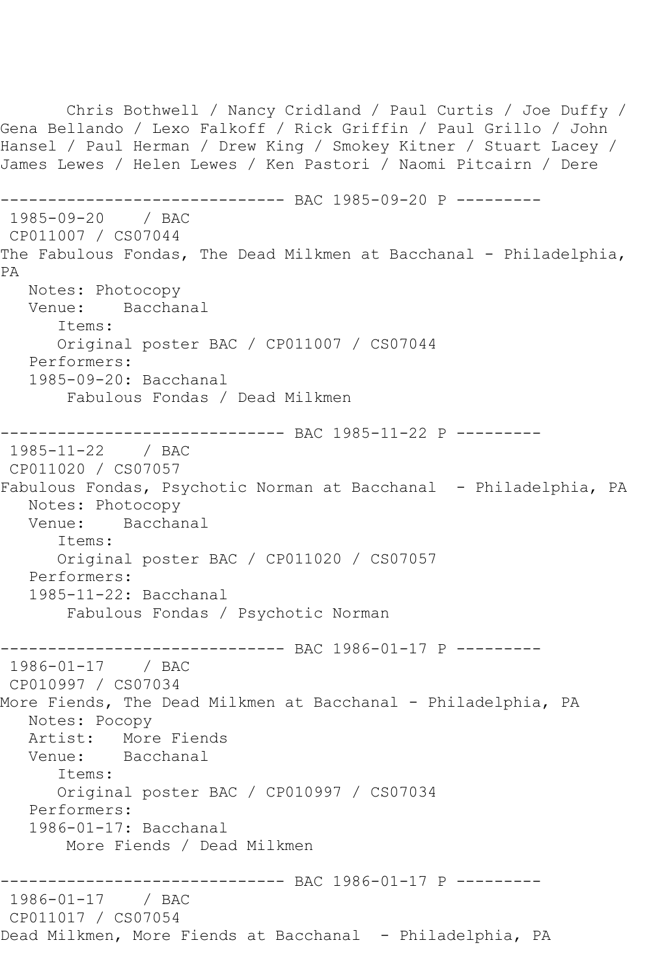Chris Bothwell / Nancy Cridland / Paul Curtis / Joe Duffy / Gena Bellando / Lexo Falkoff / Rick Griffin / Paul Grillo / John Hansel / Paul Herman / Drew King / Smokey Kitner / Stuart Lacey / James Lewes / Helen Lewes / Ken Pastori / Naomi Pitcairn / Dere ------------ BAC 1985-09-20 P ---------1985-09-20 / BAC CP011007 / CS07044 The Fabulous Fondas, The Dead Milkmen at Bacchanal - Philadelphia, PA Notes: Photocopy Venue: Bacchanal Items: Original poster BAC / CP011007 / CS07044 Performers: 1985-09-20: Bacchanal Fabulous Fondas / Dead Milkmen ------------------------------ BAC 1985-11-22 P --------- 1985-11-22 / BAC CP011020 / CS07057 Fabulous Fondas, Psychotic Norman at Bacchanal - Philadelphia, PA Notes: Photocopy<br>Venue: Bacchar Bacchanal Items: Original poster BAC / CP011020 / CS07057 Performers: 1985-11-22: Bacchanal Fabulous Fondas / Psychotic Norman ------------ BAC 1986-01-17 P ---------1986-01-17 / BAC CP010997 / CS07034 More Fiends, The Dead Milkmen at Bacchanal - Philadelphia, PA Notes: Pocopy Artist: More Fiends Venue: Bacchanal Items: Original poster BAC / CP010997 / CS07034 Performers: 1986-01-17: Bacchanal More Fiends / Dead Milkmen ------------------------------ BAC 1986-01-17 P --------- 1986-01-17 / BAC CP011017 / CS07054 Dead Milkmen, More Fiends at Bacchanal - Philadelphia, PA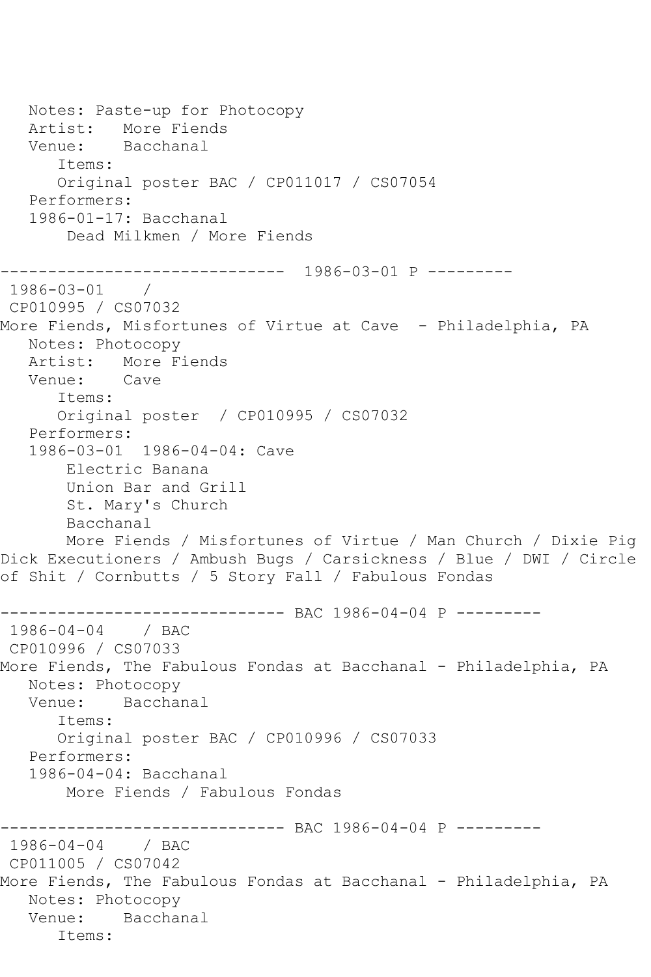```
 Notes: Paste-up for Photocopy
   Artist: More Fiends
   Venue: Bacchanal
       Items:
      Original poster BAC / CP011017 / CS07054
   Performers:
   1986-01-17: Bacchanal
        Dead Milkmen / More Fiends
------------------------------ 1986-03-01 P ---------
1986-03-01 / 
CP010995 / CS07032
More Fiends, Misfortunes of Virtue at Cave - Philadelphia, PA
   Notes: Photocopy
   Artist: More Fiends
   Venue: Cave
       Items:
      Original poster / CP010995 / CS07032
   Performers:
   1986-03-01 1986-04-04: Cave
        Electric Banana
       Union Bar and Grill
        St. Mary's Church
        Bacchanal
       More Fiends / Misfortunes of Virtue / Man Church / Dixie Pig 
Dick Executioners / Ambush Bugs / Carsickness / Blue / DWI / Circle 
of Shit / Cornbutts / 5 Story Fall / Fabulous Fondas
------------------------------ BAC 1986-04-04 P ---------
1986-04-04 / BAC 
CP010996 / CS07033
More Fiends, The Fabulous Fondas at Bacchanal - Philadelphia, PA
   Notes: Photocopy
   Venue: Bacchanal
       Items:
      Original poster BAC / CP010996 / CS07033
   Performers:
   1986-04-04: Bacchanal
       More Fiends / Fabulous Fondas
             ------------------------------ BAC 1986-04-04 P ---------
1986-04-04 / BAC 
CP011005 / CS07042
More Fiends, The Fabulous Fondas at Bacchanal - Philadelphia, PA
   Notes: Photocopy
   Venue: Bacchanal
       Items:
```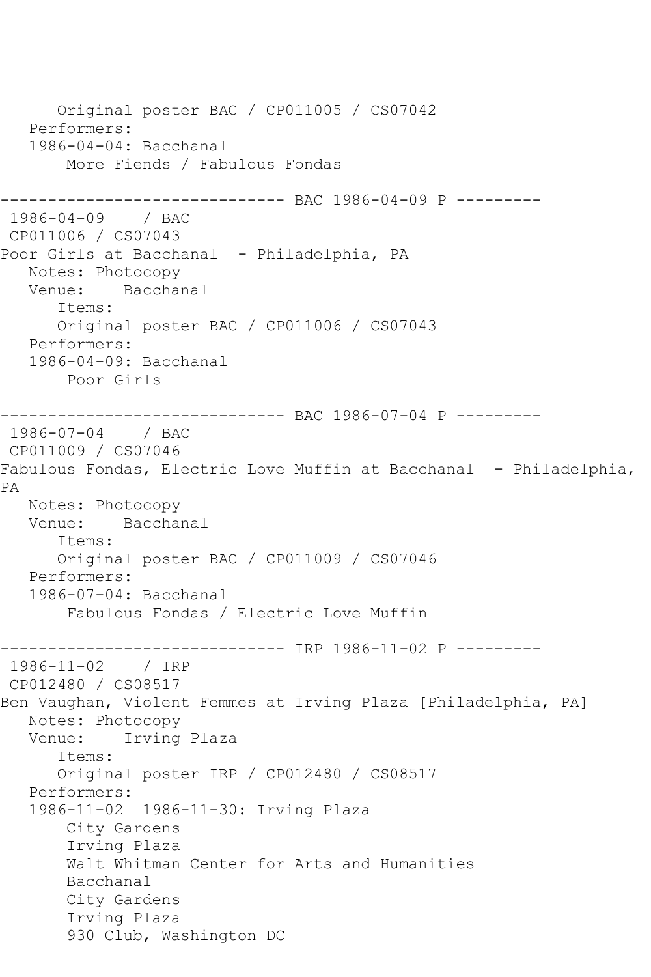```
 Original poster BAC / CP011005 / CS07042
    Performers:
    1986-04-04: Bacchanal
        More Fiends / Fabulous Fondas
          ------------------- BAC 1986-04-09 P ---------
1986-04-09 / BAC 
CP011006 / CS07043
Poor Girls at Bacchanal - Philadelphia, PA
  Notes: Photocopy<br>Venue: Bacchai
            Bacchanal
       Items:
       Original poster BAC / CP011006 / CS07043
   Performers:
    1986-04-09: Bacchanal
        Poor Girls
------------------------------ BAC 1986-07-04 P ---------
1986-07-04 / BAC 
CP011009 / CS07046
Fabulous Fondas, Electric Love Muffin at Bacchanal - Philadelphia,
PA
   Notes: Photocopy
   Venue: Bacchanal
       Items:
       Original poster BAC / CP011009 / CS07046
   Performers:
    1986-07-04: Bacchanal
        Fabulous Fondas / Electric Love Muffin
                   ------------ IRP 1986-11-02 P ---------
1986-11-02 / IRP 
CP012480 / CS08517
Ben Vaughan, Violent Femmes at Irving Plaza [Philadelphia, PA]
   Notes: Photocopy
   Venue: Irving Plaza
       Items:
       Original poster IRP / CP012480 / CS08517
    Performers:
    1986-11-02 1986-11-30: Irving Plaza
        City Gardens
        Irving Plaza
        Walt Whitman Center for Arts and Humanities
        Bacchanal
        City Gardens
        Irving Plaza
        930 Club, Washington DC
```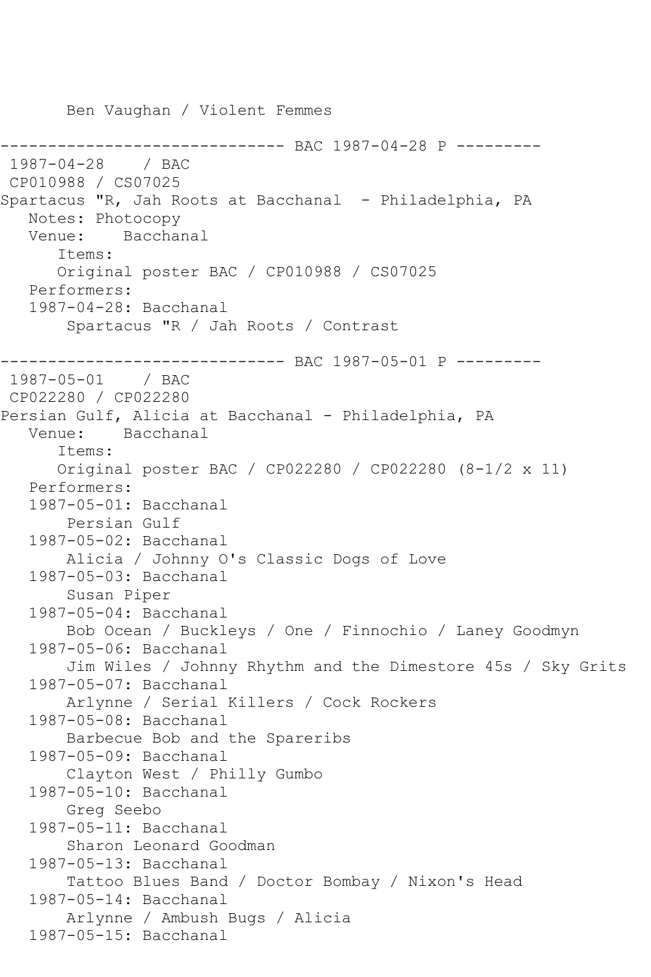Ben Vaughan / Violent Femmes ----------- BAC 1987-04-28 P ---------1987-04-28 / BAC CP010988 / CS07025 Spartacus "R, Jah Roots at Bacchanal - Philadelphia, PA Notes: Photocopy Venue: Bacchanal Items: Original poster BAC / CP010988 / CS07025 Performers: 1987-04-28: Bacchanal Spartacus "R / Jah Roots / Contrast ------------------------------ BAC 1987-05-01 P --------- 1987-05-01 / BAC CP022280 / CP022280 Persian Gulf, Alicia at Bacchanal - Philadelphia, PA Venue: Bacchanal Items: Original poster BAC / CP022280 / CP022280 (8-1/2 x 11) Performers: 1987-05-01: Bacchanal Persian Gulf 1987-05-02: Bacchanal Alicia / Johnny O's Classic Dogs of Love 1987-05-03: Bacchanal Susan Piper 1987-05-04: Bacchanal Bob Ocean / Buckleys / One / Finnochio / Laney Goodmyn 1987-05-06: Bacchanal Jim Wiles / Johnny Rhythm and the Dimestore 45s / Sky Grits 1987-05-07: Bacchanal Arlynne / Serial Killers / Cock Rockers 1987-05-08: Bacchanal Barbecue Bob and the Spareribs 1987-05-09: Bacchanal Clayton West / Philly Gumbo 1987-05-10: Bacchanal Greg Seebo 1987-05-11: Bacchanal Sharon Leonard Goodman 1987-05-13: Bacchanal Tattoo Blues Band / Doctor Bombay / Nixon's Head 1987-05-14: Bacchanal Arlynne / Ambush Bugs / Alicia 1987-05-15: Bacchanal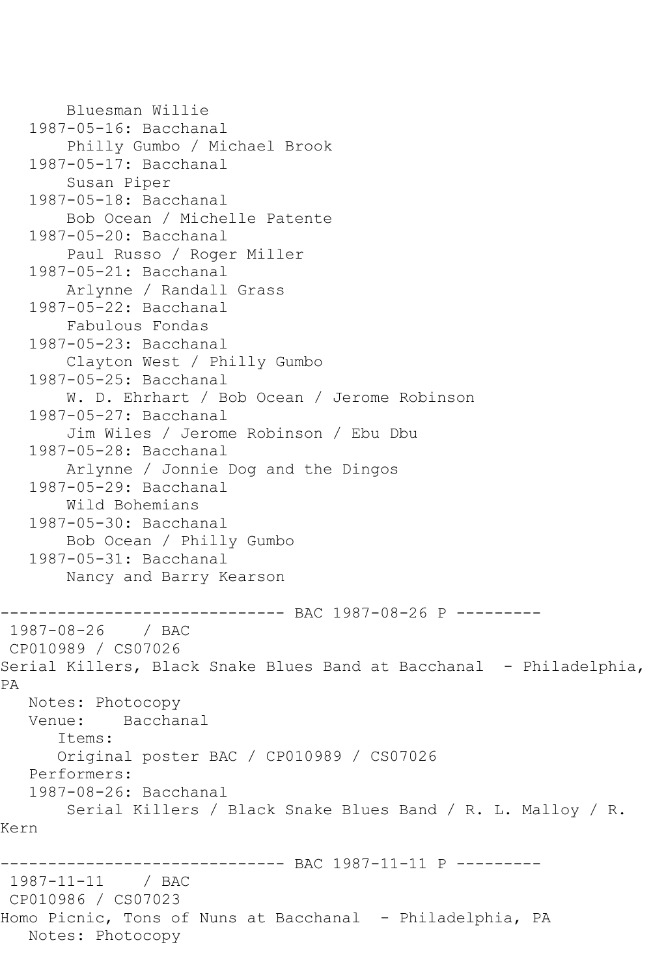```
 Bluesman Willie
    1987-05-16: Bacchanal
        Philly Gumbo / Michael Brook
    1987-05-17: Bacchanal
        Susan Piper
    1987-05-18: Bacchanal
        Bob Ocean / Michelle Patente
    1987-05-20: Bacchanal
        Paul Russo / Roger Miller
    1987-05-21: Bacchanal
        Arlynne / Randall Grass
    1987-05-22: Bacchanal
        Fabulous Fondas
    1987-05-23: Bacchanal
        Clayton West / Philly Gumbo
    1987-05-25: Bacchanal
        W. D. Ehrhart / Bob Ocean / Jerome Robinson
    1987-05-27: Bacchanal
        Jim Wiles / Jerome Robinson / Ebu Dbu
    1987-05-28: Bacchanal
        Arlynne / Jonnie Dog and the Dingos
    1987-05-29: Bacchanal
        Wild Bohemians
    1987-05-30: Bacchanal
        Bob Ocean / Philly Gumbo
    1987-05-31: Bacchanal
        Nancy and Barry Kearson
                    ----------- BAC 1987-08-26 P ---------
1987-08-26 / BAC 
CP010989 / CS07026
Serial Killers, Black Snake Blues Band at Bacchanal - Philadelphia,
PA
   Notes: Photocopy
   Venue: Bacchanal
       Items:
       Original poster BAC / CP010989 / CS07026
    Performers:
    1987-08-26: Bacchanal
        Serial Killers / Black Snake Blues Band / R. L. Malloy / R. 
Kern
------------------------------ BAC 1987-11-11 P ---------
1987-11-11 / BAC 
CP010986 / CS07023
Homo Picnic, Tons of Nuns at Bacchanal - Philadelphia, PA
   Notes: Photocopy
```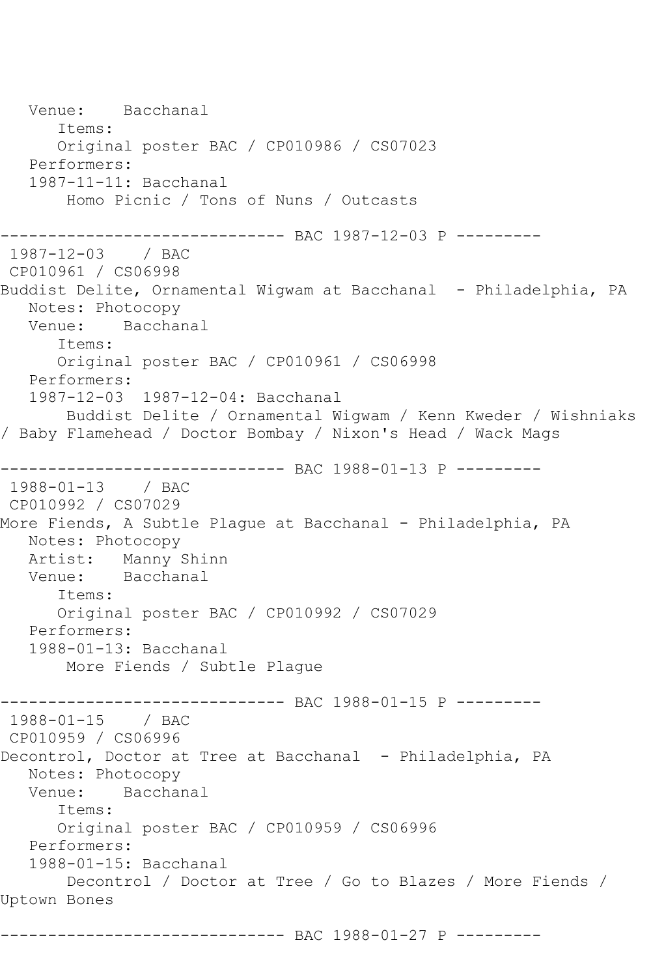Venue: Bacchanal Items: Original poster BAC / CP010986 / CS07023 Performers: 1987-11-11: Bacchanal Homo Picnic / Tons of Nuns / Outcasts ------------------------------ BAC 1987-12-03 P --------- 1987-12-03 / BAC CP010961 / CS06998 Buddist Delite, Ornamental Wigwam at Bacchanal - Philadelphia, PA Notes: Photocopy<br>Venue: Bacchai Bacchanal Items: Original poster BAC / CP010961 / CS06998 Performers: 1987-12-03 1987-12-04: Bacchanal Buddist Delite / Ornamental Wigwam / Kenn Kweder / Wishniaks / Baby Flamehead / Doctor Bombay / Nixon's Head / Wack Mags ------------------------------ BAC 1988-01-13 P --------- 1988-01-13 / BAC CP010992 / CS07029 More Fiends, A Subtle Plague at Bacchanal - Philadelphia, PA Notes: Photocopy Artist: Manny Shinn<br>Venue: Bacchanal Bacchanal Items: Original poster BAC / CP010992 / CS07029 Performers: 1988-01-13: Bacchanal More Fiends / Subtle Plague ------------------------------ BAC 1988-01-15 P --------- 1988-01-15 / BAC CP010959 / CS06996 Decontrol, Doctor at Tree at Bacchanal - Philadelphia, PA Notes: Photocopy Venue: Bacchanal Items: Original poster BAC / CP010959 / CS06996 Performers: 1988-01-15: Bacchanal Decontrol / Doctor at Tree / Go to Blazes / More Fiends / Uptown Bones ------------------------------ BAC 1988-01-27 P ---------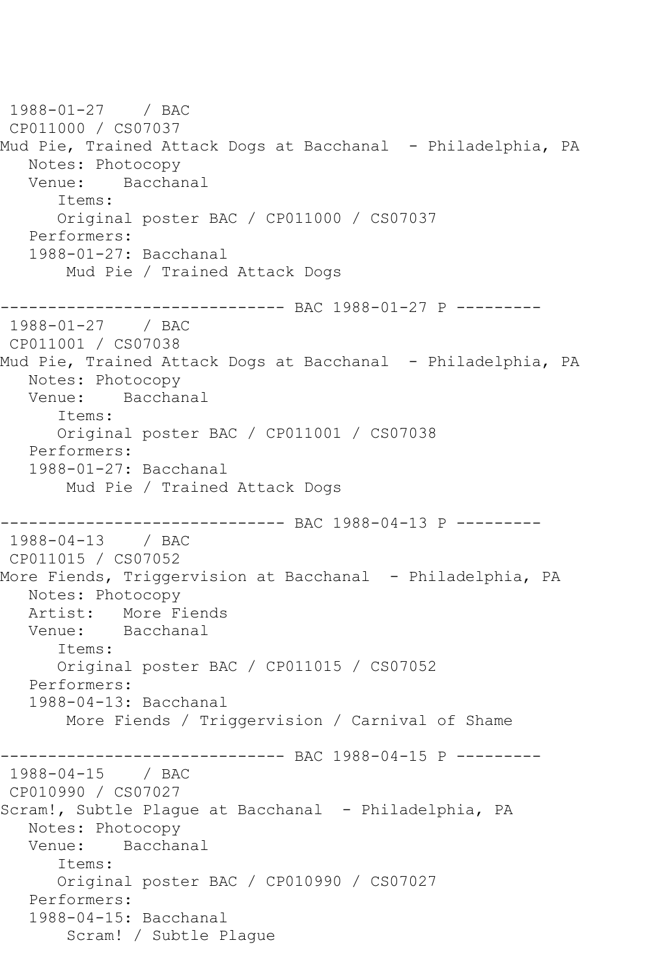```
1988-01-27 / BAC 
CP011000 / CS07037
Mud Pie, Trained Attack Dogs at Bacchanal - Philadelphia, PA
  Notes: Photocopy<br>Venue: Bacchai
           Bacchanal
       Items:
      Original poster BAC / CP011000 / CS07037
   Performers:
   1988-01-27: Bacchanal
        Mud Pie / Trained Attack Dogs
------------------------------ BAC 1988-01-27 P ---------
1988-01-27 / BAC 
CP011001 / CS07038
Mud Pie, Trained Attack Dogs at Bacchanal - Philadelphia, PA
   Notes: Photocopy
   Venue: Bacchanal
       Items:
       Original poster BAC / CP011001 / CS07038
   Performers:
   1988-01-27: Bacchanal
        Mud Pie / Trained Attack Dogs
------------------------------ BAC 1988-04-13 P ---------
1988-04-13 / BAC 
CP011015 / CS07052
More Fiends, Triggervision at Bacchanal - Philadelphia, PA
   Notes: Photocopy
   Artist: More Fiends
   Venue: Bacchanal
       Items:
       Original poster BAC / CP011015 / CS07052
   Performers:
   1988-04-13: Bacchanal
        More Fiends / Triggervision / Carnival of Shame
------------------------------ BAC 1988-04-15 P ---------
1988-04-15 / BAC 
CP010990 / CS07027
Scram!, Subtle Plaque at Bacchanal - Philadelphia, PA
   Notes: Photocopy
   Venue: Bacchanal
      Items:
      Original poster BAC / CP010990 / CS07027
   Performers:
   1988-04-15: Bacchanal
        Scram! / Subtle Plague
```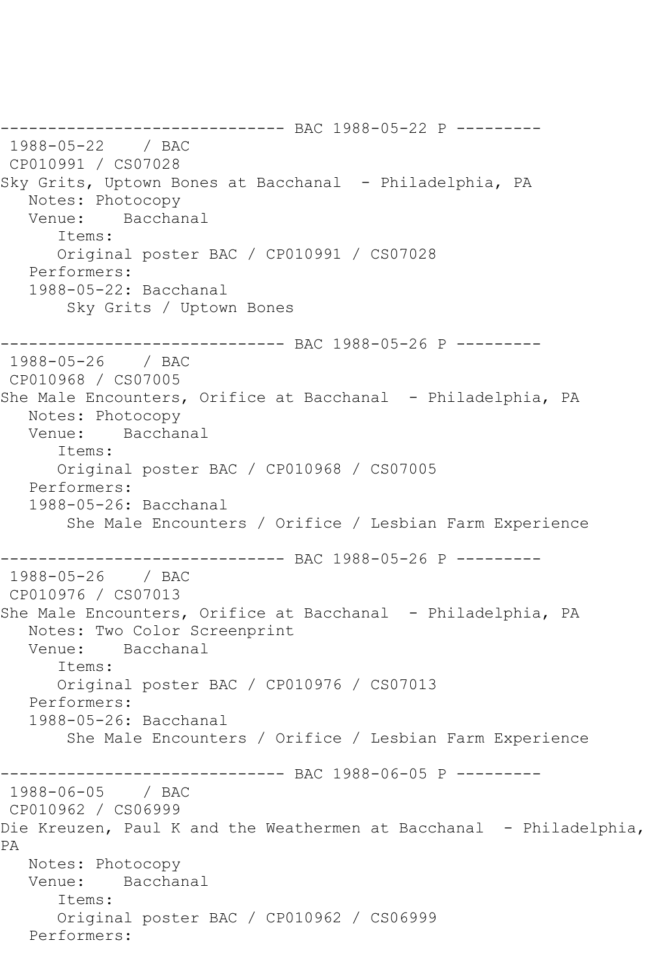------------------------------ BAC 1988-05-22 P --------- 1988-05-22 / BAC CP010991 / CS07028 Sky Grits, Uptown Bones at Bacchanal - Philadelphia, PA Notes: Photocopy Venue: Bacchanal Items: Original poster BAC / CP010991 / CS07028 Performers: 1988-05-22: Bacchanal Sky Grits / Uptown Bones ------------------------------ BAC 1988-05-26 P --------- 1988-05-26 / BAC CP010968 / CS07005 She Male Encounters, Orifice at Bacchanal - Philadelphia, PA Notes: Photocopy<br>Venue: Bacchai Bacchanal Items: Original poster BAC / CP010968 / CS07005 Performers: 1988-05-26: Bacchanal She Male Encounters / Orifice / Lesbian Farm Experience ------------------------------ BAC 1988-05-26 P --------- 1988-05-26 / BAC CP010976 / CS07013 She Male Encounters, Orifice at Bacchanal - Philadelphia, PA Notes: Two Color Screenprint Venue: Bacchanal Items: Original poster BAC / CP010976 / CS07013 Performers: 1988-05-26: Bacchanal She Male Encounters / Orifice / Lesbian Farm Experience ------------------------------ BAC 1988-06-05 P --------- 1988-06-05 / BAC CP010962 / CS06999 Die Kreuzen, Paul K and the Weathermen at Bacchanal - Philadelphia, PA Notes: Photocopy Venue: Bacchanal Items: Original poster BAC / CP010962 / CS06999 Performers: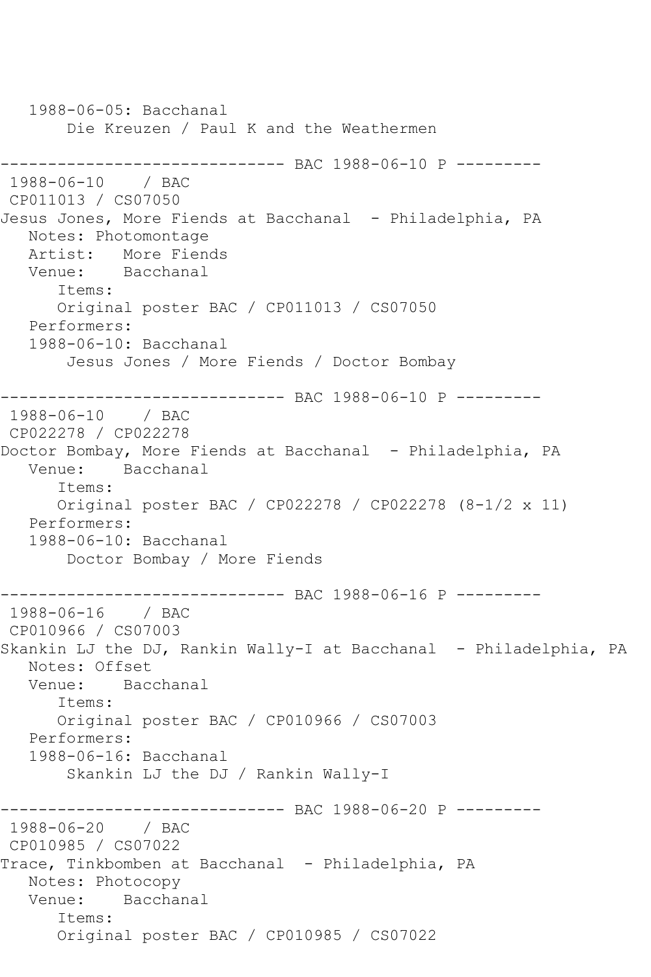1988-06-05: Bacchanal Die Kreuzen / Paul K and the Weathermen ------------------------------ BAC 1988-06-10 P --------- 1988-06-10 / BAC CP011013 / CS07050 Jesus Jones, More Fiends at Bacchanal - Philadelphia, PA Notes: Photomontage Artist: More Fiends<br>Venue: Bacchanal Bacchanal Items: Original poster BAC / CP011013 / CS07050 Performers: 1988-06-10: Bacchanal Jesus Jones / More Fiends / Doctor Bombay ------------------------------ BAC 1988-06-10 P --------- 1988-06-10 / BAC CP022278 / CP022278 Doctor Bombay, More Fiends at Bacchanal - Philadelphia, PA Venue: Bacchanal Items: Original poster BAC / CP022278 / CP022278 (8-1/2 x 11) Performers: 1988-06-10: Bacchanal Doctor Bombay / More Fiends ----------- BAC 1988-06-16 P ----------1988-06-16 / BAC CP010966 / CS07003 Skankin LJ the DJ, Rankin Wally-I at Bacchanal - Philadelphia, PA Notes: Offset Venue: Bacchanal Items: Original poster BAC / CP010966 / CS07003 Performers: 1988-06-16: Bacchanal Skankin LJ the DJ / Rankin Wally-I ------------------------------ BAC 1988-06-20 P --------- 1988-06-20 / BAC CP010985 / CS07022 Trace, Tinkbomben at Bacchanal - Philadelphia, PA Notes: Photocopy Venue: Bacchanal Items: Original poster BAC / CP010985 / CS07022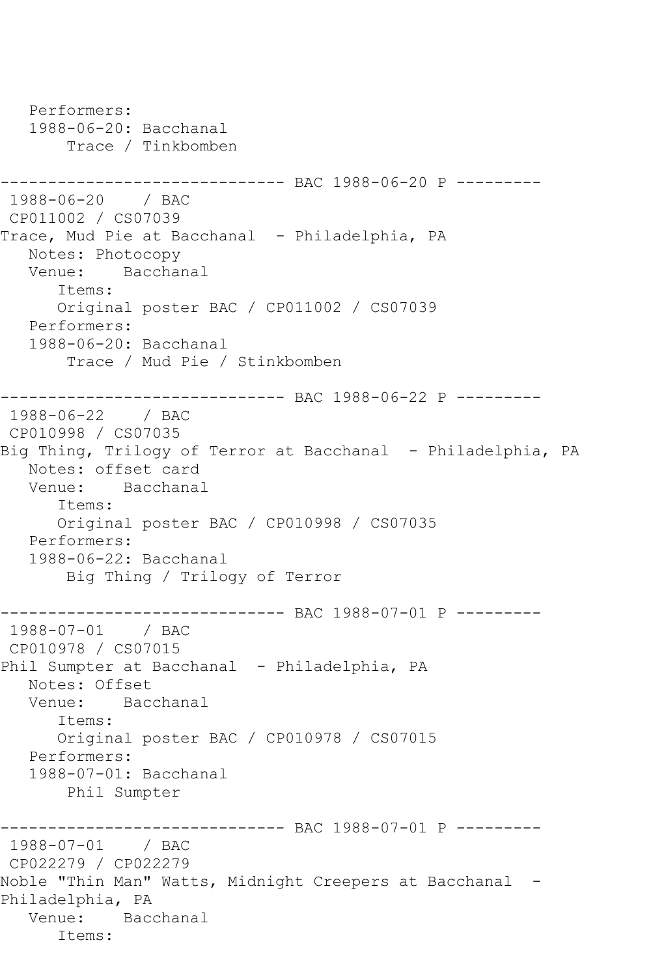```
 Performers:
   1988-06-20: Bacchanal
        Trace / Tinkbomben
------------------------------ BAC 1988-06-20 P ---------
1988-06-20 / BAC 
CP011002 / CS07039
Trace, Mud Pie at Bacchanal - Philadelphia, PA
   Notes: Photocopy
   Venue: Bacchanal
       Items:
       Original poster BAC / CP011002 / CS07039
   Performers:
    1988-06-20: Bacchanal
        Trace / Mud Pie / Stinkbomben
------------------------------ BAC 1988-06-22 P ---------
1988-06-22 / BAC 
CP010998 / CS07035
Big Thing, Trilogy of Terror at Bacchanal - Philadelphia, PA
   Notes: offset card
   Venue: Bacchanal
       Items:
       Original poster BAC / CP010998 / CS07035
    Performers:
    1988-06-22: Bacchanal
        Big Thing / Trilogy of Terror
                -------------- BAC 1988-07-01 P ---------
1988-07-01 / BAC 
CP010978 / CS07015
Phil Sumpter at Bacchanal - Philadelphia, PA
  Notes: Offset<br>Venue: Baco
          Bacchanal
       Items:
       Original poster BAC / CP010978 / CS07015
   Performers:
    1988-07-01: Bacchanal
        Phil Sumpter
                   ------------------------------ BAC 1988-07-01 P ---------
1988-07-01 / BAC 
CP022279 / CP022279
Noble "Thin Man" Watts, Midnight Creepers at Bacchanal -
Philadelphia, PA
   Venue: Bacchanal
       Items:
```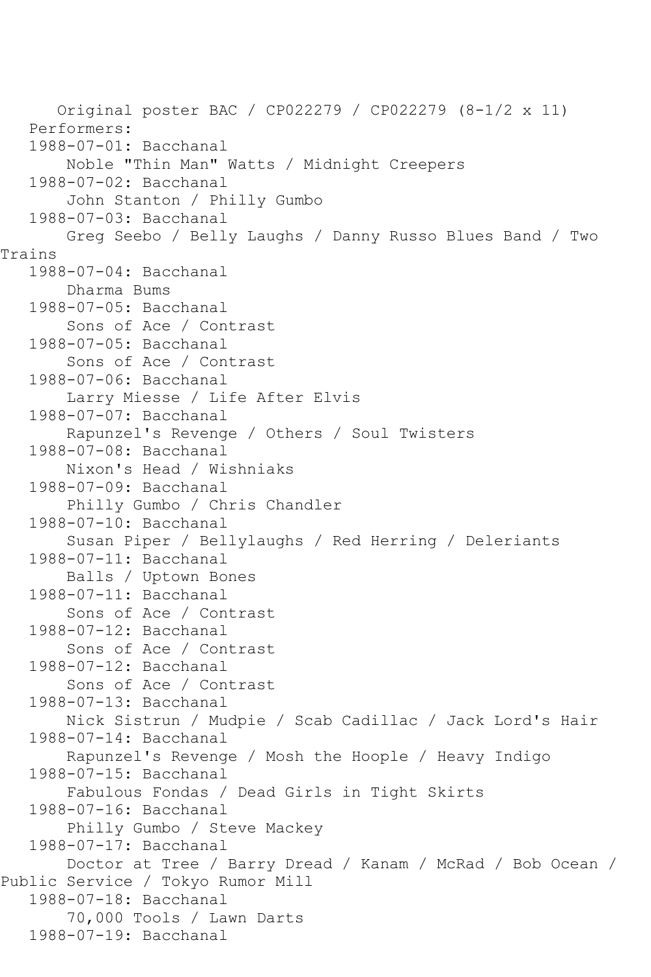Original poster BAC / CP022279 / CP022279 (8-1/2 x 11) Performers: 1988-07-01: Bacchanal Noble "Thin Man" Watts / Midnight Creepers 1988-07-02: Bacchanal John Stanton / Philly Gumbo 1988-07-03: Bacchanal Greg Seebo / Belly Laughs / Danny Russo Blues Band / Two Trains 1988-07-04: Bacchanal Dharma Bums 1988-07-05: Bacchanal Sons of Ace / Contrast 1988-07-05: Bacchanal Sons of Ace / Contrast 1988-07-06: Bacchanal Larry Miesse / Life After Elvis 1988-07-07: Bacchanal Rapunzel's Revenge / Others / Soul Twisters 1988-07-08: Bacchanal Nixon's Head / Wishniaks 1988-07-09: Bacchanal Philly Gumbo / Chris Chandler 1988-07-10: Bacchanal Susan Piper / Bellylaughs / Red Herring / Deleriants 1988-07-11: Bacchanal Balls / Uptown Bones 1988-07-11: Bacchanal Sons of Ace / Contrast 1988-07-12: Bacchanal Sons of Ace / Contrast 1988-07-12: Bacchanal Sons of Ace / Contrast 1988-07-13: Bacchanal Nick Sistrun / Mudpie / Scab Cadillac / Jack Lord's Hair 1988-07-14: Bacchanal Rapunzel's Revenge / Mosh the Hoople / Heavy Indigo 1988-07-15: Bacchanal Fabulous Fondas / Dead Girls in Tight Skirts 1988-07-16: Bacchanal Philly Gumbo / Steve Mackey 1988-07-17: Bacchanal Doctor at Tree / Barry Dread / Kanam / McRad / Bob Ocean / Public Service / Tokyo Rumor Mill 1988-07-18: Bacchanal 70,000 Tools / Lawn Darts 1988-07-19: Bacchanal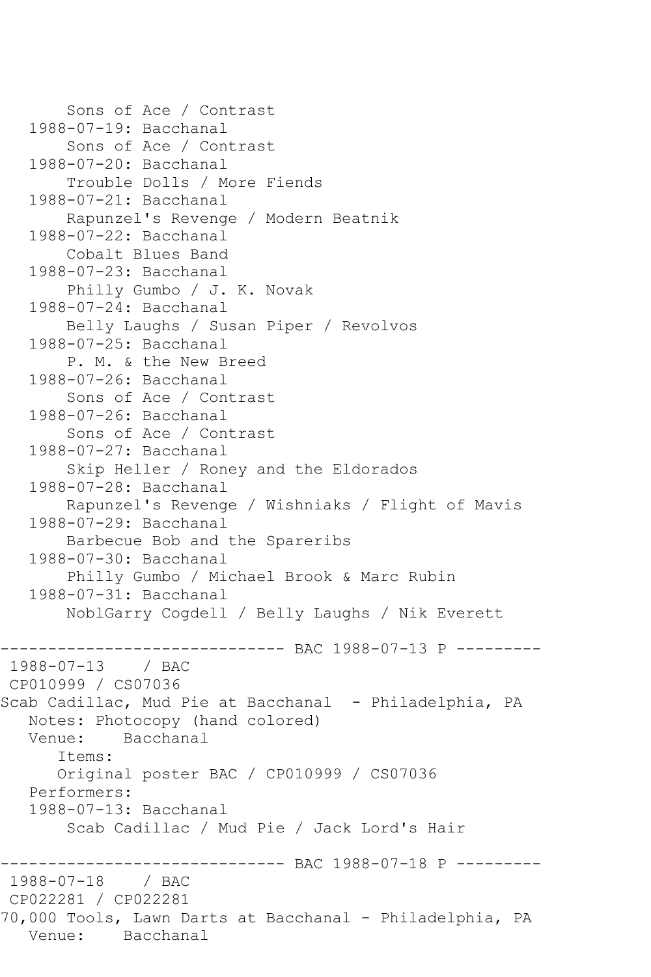```
 Sons of Ace / Contrast
    1988-07-19: Bacchanal
        Sons of Ace / Contrast
    1988-07-20: Bacchanal
        Trouble Dolls / More Fiends
    1988-07-21: Bacchanal
        Rapunzel's Revenge / Modern Beatnik
    1988-07-22: Bacchanal
        Cobalt Blues Band
    1988-07-23: Bacchanal
        Philly Gumbo / J. K. Novak
    1988-07-24: Bacchanal
        Belly Laughs / Susan Piper / Revolvos
    1988-07-25: Bacchanal
        P. M. & the New Breed
    1988-07-26: Bacchanal
        Sons of Ace / Contrast
    1988-07-26: Bacchanal
        Sons of Ace / Contrast
    1988-07-27: Bacchanal
        Skip Heller / Roney and the Eldorados
    1988-07-28: Bacchanal
        Rapunzel's Revenge / Wishniaks / Flight of Mavis
    1988-07-29: Bacchanal
        Barbecue Bob and the Spareribs
    1988-07-30: Bacchanal
        Philly Gumbo / Michael Brook & Marc Rubin
    1988-07-31: Bacchanal
        NoblGarry Cogdell / Belly Laughs / Nik Everett
                     ---------- BAC 1988-07-13 P ---------
1988-07-13 / BAC 
CP010999 / CS07036
Scab Cadillac, Mud Pie at Bacchanal - Philadelphia, PA
   Notes: Photocopy (hand colored)
   Venue: Bacchanal
       Items:
       Original poster BAC / CP010999 / CS07036
   Performers:
    1988-07-13: Bacchanal
        Scab Cadillac / Mud Pie / Jack Lord's Hair
              ------------------------------ BAC 1988-07-18 P ---------
1988 - 07 - 18CP022281 / CP022281
70,000 Tools, Lawn Darts at Bacchanal - Philadelphia, PA
   Venue: Bacchanal
```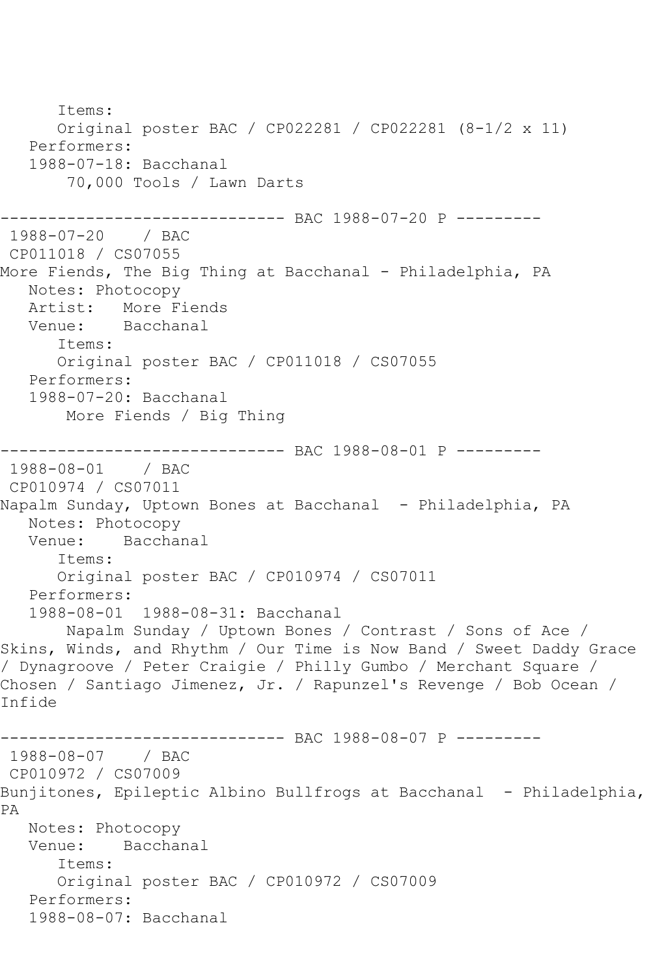```
 Items:
       Original poster BAC / CP022281 / CP022281 (8-1/2 x 11)
   Performers:
    1988-07-18: Bacchanal
        70,000 Tools / Lawn Darts
                ------------------------------ BAC 1988-07-20 P ---------
1988-07-20 / BAC 
CP011018 / CS07055
More Fiends, The Big Thing at Bacchanal - Philadelphia, PA
   Notes: Photocopy
  Artist: More Fiends<br>Venue: Bacchanal
            Bacchanal
       Items:
       Original poster BAC / CP011018 / CS07055
   Performers:
    1988-07-20: Bacchanal
        More Fiends / Big Thing
-------------------------------- BAC 1988-08-01 P ---------<br>1988-08-01   / BAC
1988-08-01
CP010974 / CS07011
Napalm Sunday, Uptown Bones at Bacchanal - Philadelphia, PA
   Notes: Photocopy
   Venue: Bacchanal
       Items:
       Original poster BAC / CP010974 / CS07011
   Performers:
    1988-08-01 1988-08-31: Bacchanal
        Napalm Sunday / Uptown Bones / Contrast / Sons of Ace / 
Skins, Winds, and Rhythm / Our Time is Now Band / Sweet Daddy Grace 
/ Dynagroove / Peter Craigie / Philly Gumbo / Merchant Square / 
Chosen / Santiago Jimenez, Jr. / Rapunzel's Revenge / Bob Ocean / 
Infide
------------------------------ BAC 1988-08-07 P ---------
1988-08-07 / BAC 
CP010972 / CS07009
Bunjitones, Epileptic Albino Bullfrogs at Bacchanal - Philadelphia, 
PA
   Notes: Photocopy
   Venue: Bacchanal
       Items:
       Original poster BAC / CP010972 / CS07009
    Performers:
    1988-08-07: Bacchanal
```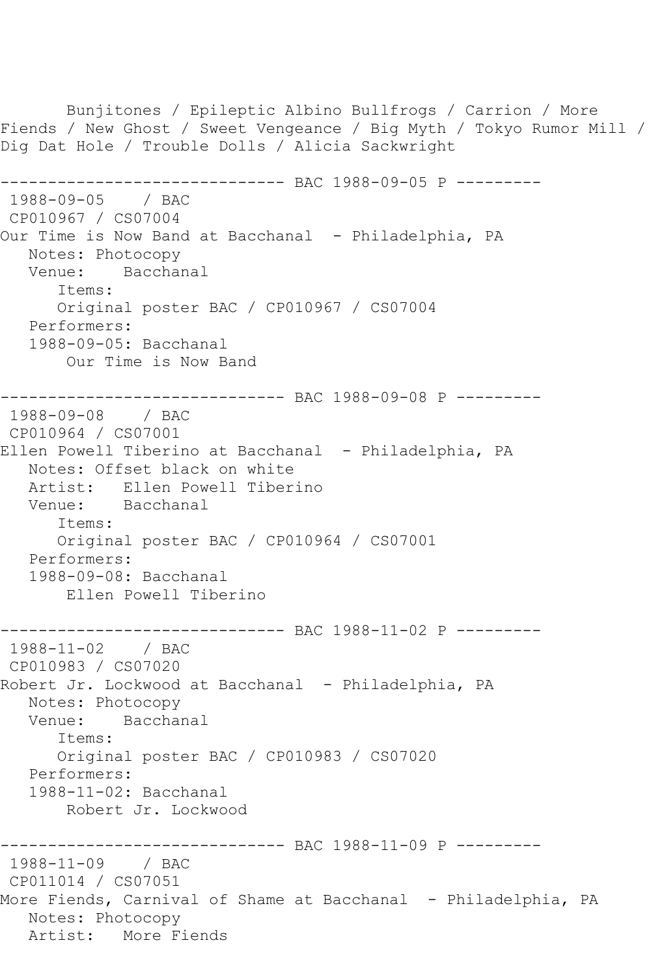Bunjitones / Epileptic Albino Bullfrogs / Carrion / More Fiends / New Ghost / Sweet Vengeance / Big Myth / Tokyo Rumor Mill / Dig Dat Hole / Trouble Dolls / Alicia Sackwright ------------------------------ BAC 1988-09-05 P --------- 1988-09-05 / BAC CP010967 / CS07004 Our Time is Now Band at Bacchanal - Philadelphia, PA Notes: Photocopy Venue: Bacchanal Items: Original poster BAC / CP010967 / CS07004 Performers: 1988-09-05: Bacchanal Our Time is Now Band ------------------------------ BAC 1988-09-08 P --------- 1988-09-08 / BAC CP010964 / CS07001 Ellen Powell Tiberino at Bacchanal - Philadelphia, PA Notes: Offset black on white Artist: Ellen Powell Tiberino Venue: Bacchanal Items: Original poster BAC / CP010964 / CS07001 Performers: 1988-09-08: Bacchanal Ellen Powell Tiberino ------------------------------ BAC 1988-11-02 P --------- 1988-11-02 / BAC CP010983 / CS07020 Robert Jr. Lockwood at Bacchanal - Philadelphia, PA Notes: Photocopy Venue: Bacchanal Items: Original poster BAC / CP010983 / CS07020 Performers: 1988-11-02: Bacchanal Robert Jr. Lockwood ------------------------------ BAC 1988-11-09 P --------- 1988-11-09 / BAC CP011014 / CS07051 More Fiends, Carnival of Shame at Bacchanal - Philadelphia, PA Notes: Photocopy Artist: More Fiends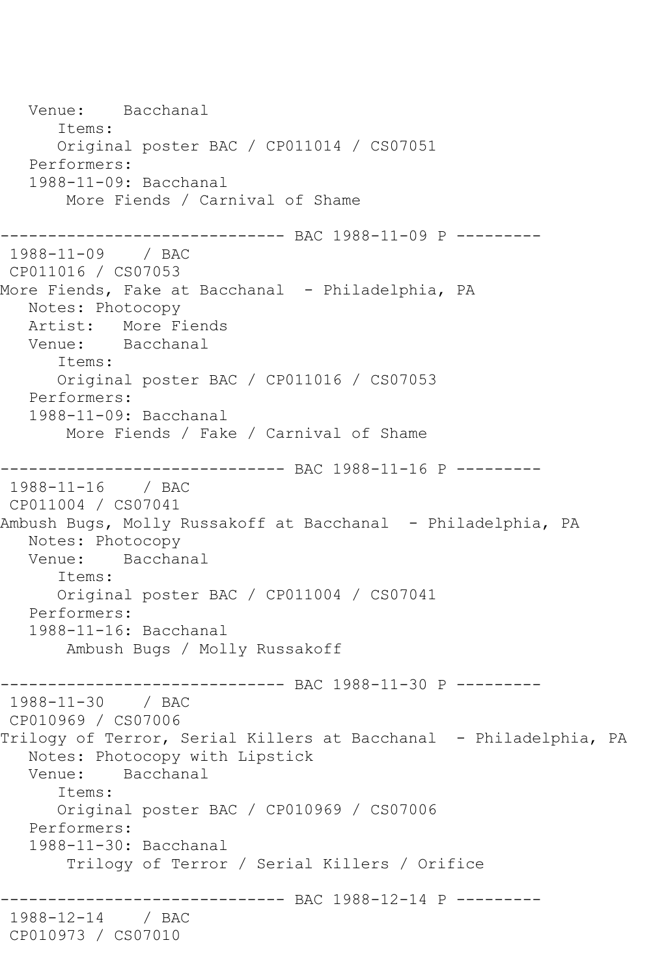```
 Venue: Bacchanal
       Items:
       Original poster BAC / CP011014 / CS07051
   Performers:
    1988-11-09: Bacchanal
        More Fiends / Carnival of Shame
------------------------------ BAC 1988-11-09 P ---------
1988-11-09 / BAC 
CP011016 / CS07053
More Fiends, Fake at Bacchanal - Philadelphia, PA
   Notes: Photocopy
   Artist: More Fiends
   Venue: Bacchanal
       Items:
       Original poster BAC / CP011016 / CS07053
   Performers:
    1988-11-09: Bacchanal
        More Fiends / Fake / Carnival of Shame
------------------------------ BAC 1988-11-16 P ---------
1988-11-16 / BAC 
CP011004 / CS07041
Ambush Bugs, Molly Russakoff at Bacchanal - Philadelphia, PA
   Notes: Photocopy
   Venue: Bacchanal
       Items:
       Original poster BAC / CP011004 / CS07041
   Performers:
    1988-11-16: Bacchanal
        Ambush Bugs / Molly Russakoff
------------------------------- BAC 1988-11-30 P ---------<br>1988-11-30   / BAC
1988 - 11 - 30CP010969 / CS07006
Trilogy of Terror, Serial Killers at Bacchanal - Philadelphia, PA
   Notes: Photocopy with Lipstick
   Venue: Bacchanal
       Items:
       Original poster BAC / CP010969 / CS07006
    Performers:
    1988-11-30: Bacchanal
        Trilogy of Terror / Serial Killers / Orifice
                  ------------------------------ BAC 1988-12-14 P ---------
1988-12-14 / BAC 
CP010973 / CS07010
```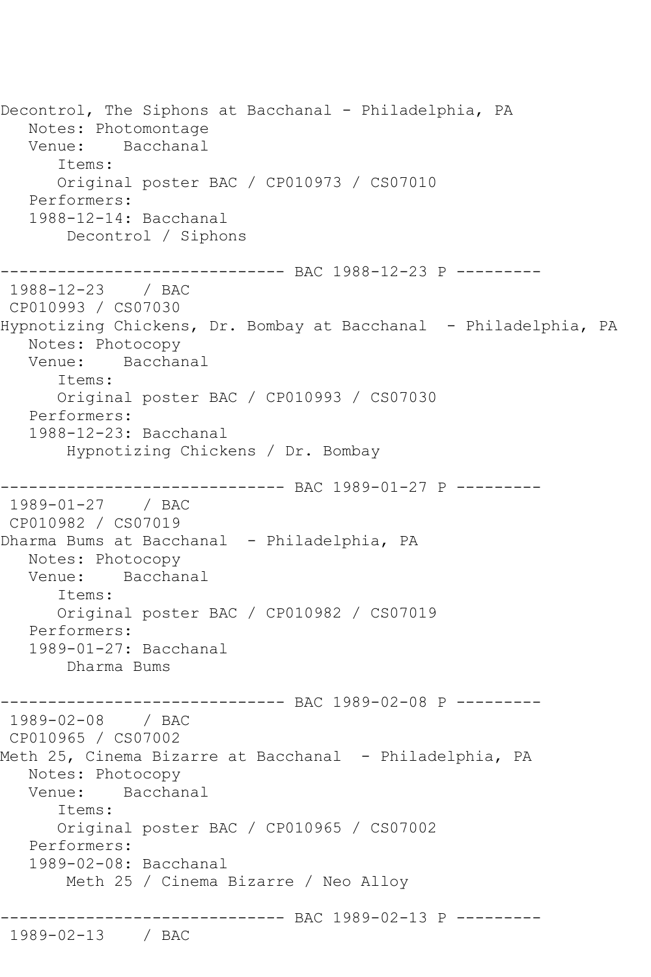Decontrol, The Siphons at Bacchanal - Philadelphia, PA Notes: Photomontage Venue: Bacchanal Items: Original poster BAC / CP010973 / CS07010 Performers: 1988-12-14: Bacchanal Decontrol / Siphons ------------------------------ BAC 1988-12-23 P --------- 1988-12-23 / BAC CP010993 / CS07030 Hypnotizing Chickens, Dr. Bombay at Bacchanal - Philadelphia, PA Notes: Photocopy Venue: Bacchanal Items: Original poster BAC / CP010993 / CS07030 Performers: 1988-12-23: Bacchanal Hypnotizing Chickens / Dr. Bombay ------------------------------ BAC 1989-01-27 P --------- 1989-01-27 / BAC CP010982 / CS07019 Dharma Bums at Bacchanal - Philadelphia, PA Notes: Photocopy Venue: Bacchanal Items: Original poster BAC / CP010982 / CS07019 Performers: 1989-01-27: Bacchanal Dharma Bums ------------------------------ BAC 1989-02-08 P --------- 1989-02-08 / BAC CP010965 / CS07002 Meth 25, Cinema Bizarre at Bacchanal - Philadelphia, PA Notes: Photocopy Venue: Bacchanal Items: Original poster BAC / CP010965 / CS07002 Performers: 1989-02-08: Bacchanal Meth 25 / Cinema Bizarre / Neo Alloy ------------------------------ BAC 1989-02-13 P --------- 1989-02-13 / BAC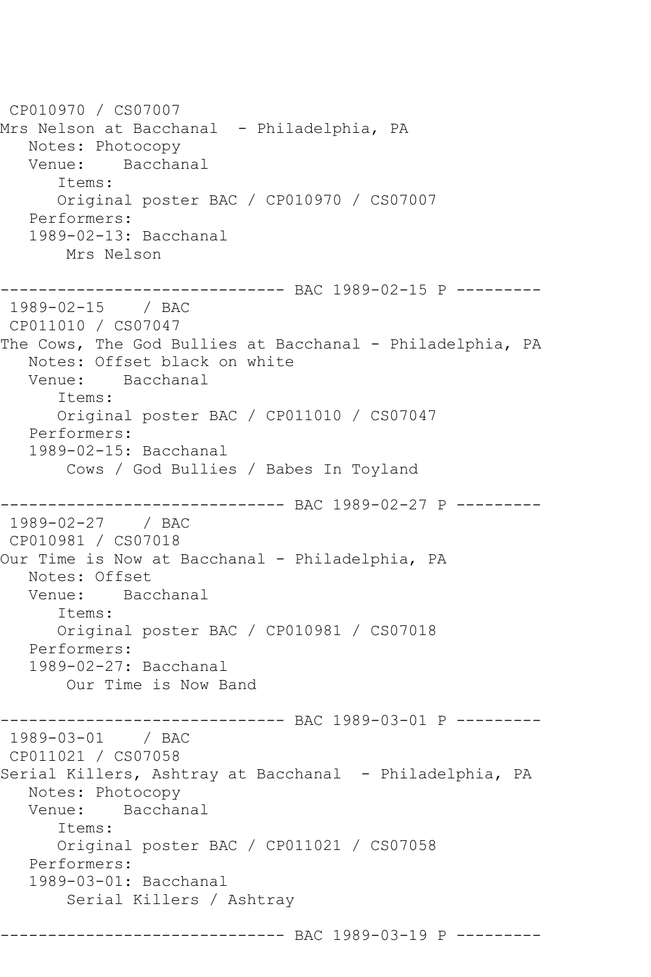```
CP010970 / CS07007
Mrs Nelson at Bacchanal - Philadelphia, PA
   Notes: Photocopy
   Venue: Bacchanal
      Items:
      Original poster BAC / CP010970 / CS07007
   Performers:
   1989-02-13: Bacchanal
       Mrs Nelson
------------------------------ BAC 1989-02-15 P ---------
1989-02-15 / BAC 
CP011010 / CS07047
The Cows, The God Bullies at Bacchanal - Philadelphia, PA
   Notes: Offset black on white
   Venue: Bacchanal
      Items:
      Original poster BAC / CP011010 / CS07047
   Performers:
   1989-02-15: Bacchanal
       Cows / God Bullies / Babes In Toyland
------------------------------ BAC 1989-02-27 P ---------
1989-02-27 / BAC 
CP010981 / CS07018
Our Time is Now at Bacchanal - Philadelphia, PA
   Notes: Offset
   Venue: Bacchanal
      Items:
      Original poster BAC / CP010981 / CS07018
   Performers:
   1989-02-27: Bacchanal
       Our Time is Now Band
                  ------------ BAC 1989-03-01 P ---------
1989-03-01 / BAC 
CP011021 / CS07058
Serial Killers, Ashtray at Bacchanal - Philadelphia, PA
   Notes: Photocopy
   Venue: Bacchanal
      Items:
      Original poster BAC / CP011021 / CS07058
   Performers:
   1989-03-01: Bacchanal
       Serial Killers / Ashtray
------------------------------ BAC 1989-03-19 P ---------
```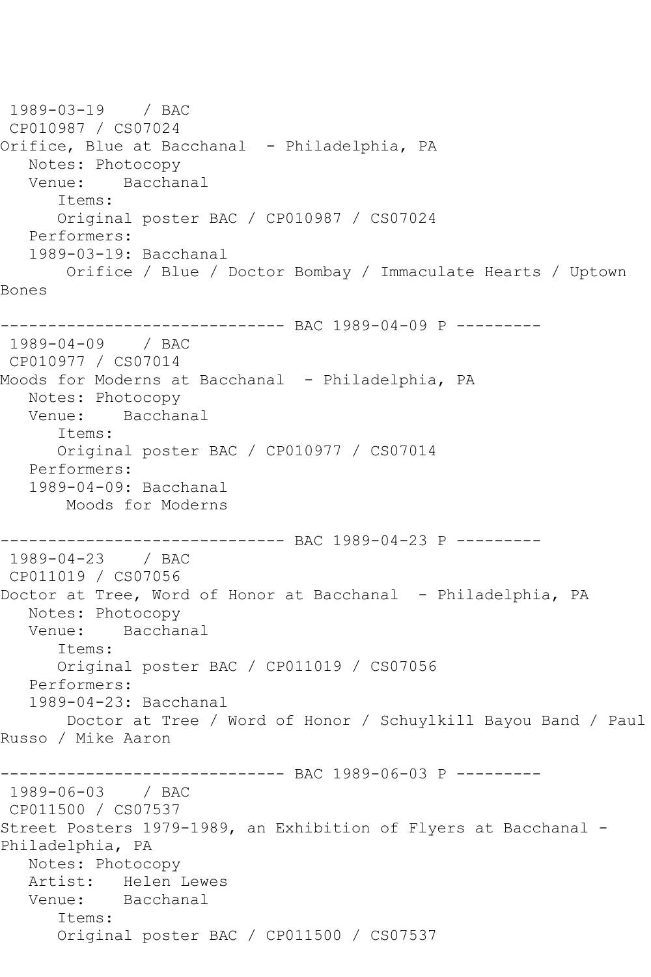```
1989-03-19 / BAC 
CP010987 / CS07024
Orifice, Blue at Bacchanal - Philadelphia, PA
  Notes: Photocopy<br>Venue: Bacchai
           Bacchanal
       Items:
      Original poster BAC / CP010987 / CS07024
   Performers:
   1989-03-19: Bacchanal
       Orifice / Blue / Doctor Bombay / Immaculate Hearts / Uptown 
Bones
------------------------------ BAC 1989-04-09 P ---------
1989-04-09 / BAC 
CP010977 / CS07014
Moods for Moderns at Bacchanal - Philadelphia, PA
   Notes: Photocopy
   Venue: Bacchanal
       Items:
      Original poster BAC / CP010977 / CS07014
   Performers:
   1989-04-09: Bacchanal
       Moods for Moderns
------------------------------ BAC 1989-04-23 P ---------
1989-04-23 / BAC 
CP011019 / CS07056
Doctor at Tree, Word of Honor at Bacchanal - Philadelphia, PA
   Notes: Photocopy
   Venue: Bacchanal
       Items:
       Original poster BAC / CP011019 / CS07056
   Performers:
   1989-04-23: Bacchanal
        Doctor at Tree / Word of Honor / Schuylkill Bayou Band / Paul 
Russo / Mike Aaron
                   ------------ BAC 1989-06-03 P ----------
1989-06-03 / BAC 
CP011500 / CS07537
Street Posters 1979-1989, an Exhibition of Flyers at Bacchanal -
Philadelphia, PA
   Notes: Photocopy
   Artist: Helen Lewes
   Venue: Bacchanal
       Items:
       Original poster BAC / CP011500 / CS07537
```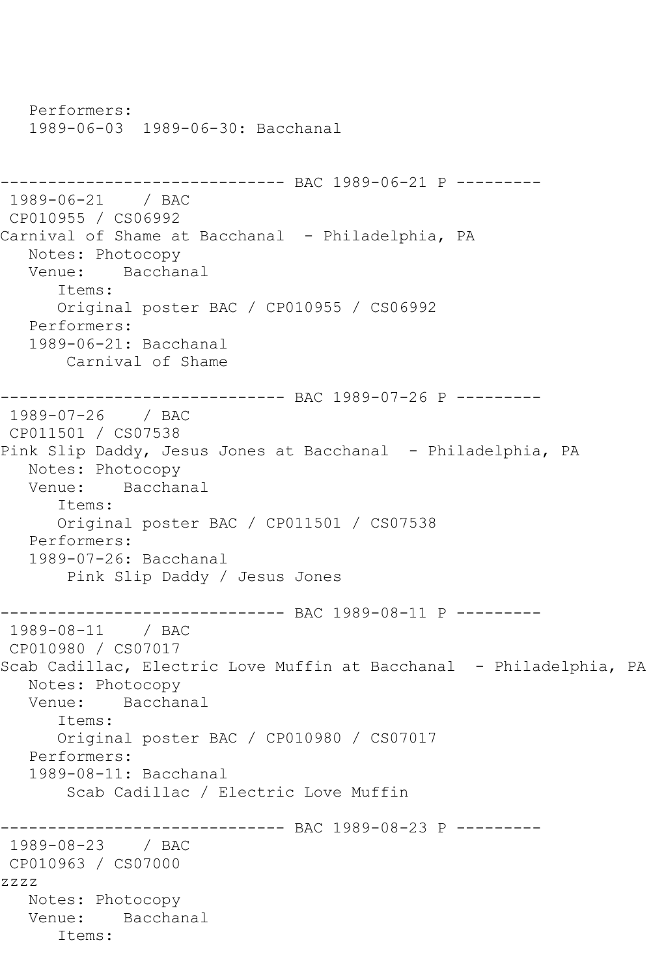```
 Performers:
   1989-06-03 1989-06-30: Bacchanal
------------------------------ BAC 1989-06-21 P ---------
1989-06-21 / BAC 
CP010955 / CS06992
Carnival of Shame at Bacchanal - Philadelphia, PA
   Notes: Photocopy
   Venue: Bacchanal
      Items:
      Original poster BAC / CP010955 / CS06992
   Performers:
   1989-06-21: Bacchanal
       Carnival of Shame
------------------------------ BAC 1989-07-26 P ---------
1989-07-26 / BAC 
CP011501 / CS07538
Pink Slip Daddy, Jesus Jones at Bacchanal - Philadelphia, PA
   Notes: Photocopy
   Venue: Bacchanal
      Items:
      Original poster BAC / CP011501 / CS07538
   Performers:
   1989-07-26: Bacchanal
        Pink Slip Daddy / Jesus Jones
------------------------------ BAC 1989-08-11 P ---------
1989-08-11 / BAC 
CP010980 / CS07017
Scab Cadillac, Electric Love Muffin at Bacchanal - Philadelphia, PA
   Notes: Photocopy
   Venue: Bacchanal
      Items:
      Original poster BAC / CP010980 / CS07017
   Performers:
   1989-08-11: Bacchanal
       Scab Cadillac / Electric Love Muffin
                   ----------- BAC 1989-08-23 P ---------
1989-08-23 / BAC 
CP010963 / CS07000
zzzz
   Notes: Photocopy
   Venue: Bacchanal
      Items:
```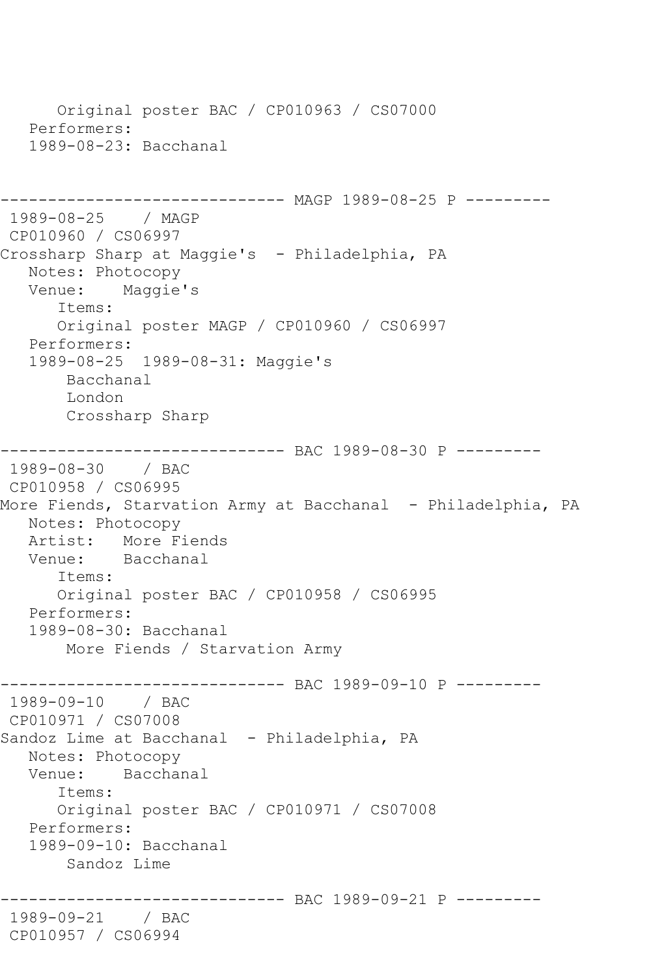```
 Original poster BAC / CP010963 / CS07000
    Performers:
    1989-08-23: Bacchanal
                    ----------- MAGP 1989-08-25 P ---------
1989-08-25 / MAGP 
CP010960 / CS06997
Crossharp Sharp at Maggie's - Philadelphia, PA
   Notes: Photocopy
   Venue: Maggie's
       Items:
       Original poster MAGP / CP010960 / CS06997
   Performers:
    1989-08-25 1989-08-31: Maggie's
        Bacchanal
        London
        Crossharp Sharp
------------------------------ BAC 1989-08-30 P ---------
1989-08-30 / BAC 
CP010958 / CS06995
More Fiends, Starvation Army at Bacchanal - Philadelphia, PA
   Notes: Photocopy
  Artist: More Fiends<br>Venue: Bacchanal
            Bacchanal
       Items:
       Original poster BAC / CP010958 / CS06995
   Performers:
    1989-08-30: Bacchanal
        More Fiends / Starvation Army
------------------------------ BAC 1989-09-10 P ---------
1989-09-10 / BAC 
CP010971 / CS07008
Sandoz Lime at Bacchanal - Philadelphia, PA
   Notes: Photocopy
   Venue: Bacchanal
       Items:
       Original poster BAC / CP010971 / CS07008
    Performers:
    1989-09-10: Bacchanal
        Sandoz Lime
                ------------------------------ BAC 1989-09-21 P ---------
1989-09-21 / BAC 
CP010957 / CS06994
```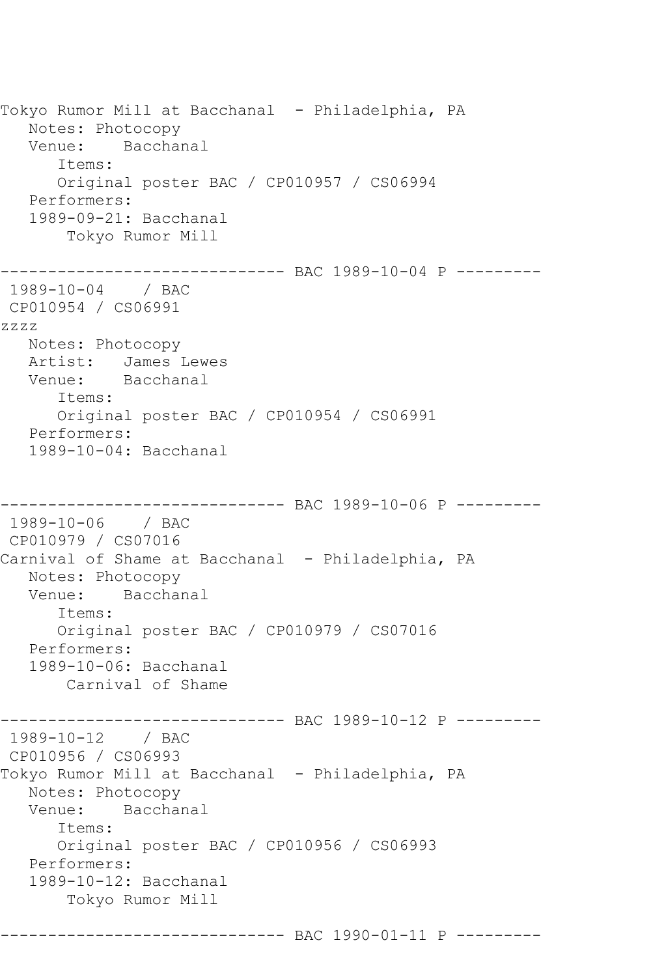Tokyo Rumor Mill at Bacchanal - Philadelphia, PA Notes: Photocopy Venue: Bacchanal Items: Original poster BAC / CP010957 / CS06994 Performers: 1989-09-21: Bacchanal Tokyo Rumor Mill ------------------------------ BAC 1989-10-04 P --------- 1989-10-04 / BAC CP010954 / CS06991 zzzz Notes: Photocopy Artist: James Lewes Venue: Bacchanal Items: Original poster BAC / CP010954 / CS06991 Performers: 1989-10-04: Bacchanal ------------------------------ BAC 1989-10-06 P --------- 1989-10-06 / BAC CP010979 / CS07016 Carnival of Shame at Bacchanal - Philadelphia, PA Notes: Photocopy Venue: Bacchanal Items: Original poster BAC / CP010979 / CS07016 Performers: 1989-10-06: Bacchanal Carnival of Shame ----------- BAC 1989-10-12 P ----------1989-10-12 / BAC CP010956 / CS06993 Tokyo Rumor Mill at Bacchanal - Philadelphia, PA Notes: Photocopy Venue: Bacchanal Items: Original poster BAC / CP010956 / CS06993 Performers: 1989-10-12: Bacchanal Tokyo Rumor Mill ------------------------------ BAC 1990-01-11 P ---------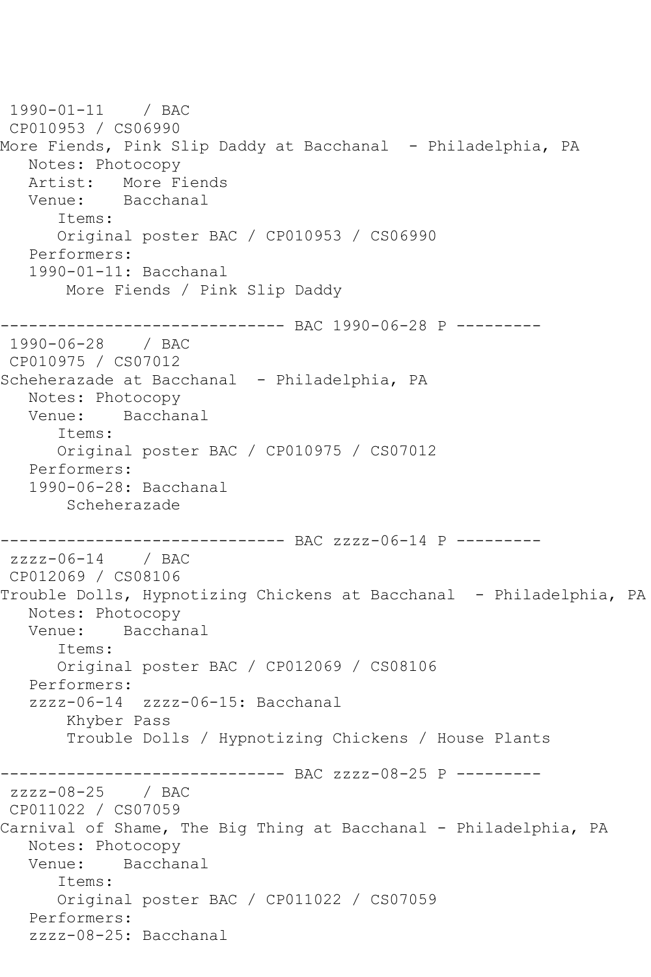```
1990-01-11 / BAC 
CP010953 / CS06990
More Fiends, Pink Slip Daddy at Bacchanal - Philadelphia, PA
   Notes: Photocopy
   Artist: More Fiends
   Venue: Bacchanal
      Items:
      Original poster BAC / CP010953 / CS06990
   Performers:
   1990-01-11: Bacchanal
       More Fiends / Pink Slip Daddy
------------------------------ BAC 1990-06-28 P ---------
1990-06-28 / BAC 
CP010975 / CS07012
Scheherazade at Bacchanal - Philadelphia, PA
   Notes: Photocopy
   Venue: Bacchanal
      Items:
      Original poster BAC / CP010975 / CS07012
   Performers:
   1990-06-28: Bacchanal
       Scheherazade
                    ----------- BAC zzzz-06-14 P ---------
zzzz-06-14 / BAC
CP012069 / CS08106
Trouble Dolls, Hypnotizing Chickens at Bacchanal - Philadelphia, PA
   Notes: Photocopy
   Venue: Bacchanal
      Items:
      Original poster BAC / CP012069 / CS08106
   Performers:
   zzzz-06-14 zzzz-06-15: Bacchanal
       Khyber Pass
       Trouble Dolls / Hypnotizing Chickens / House Plants
------------------------------ BAC zzzz-08-25 P ---------
zzzz-08-25 / BAC 
CP011022 / CS07059
Carnival of Shame, The Big Thing at Bacchanal - Philadelphia, PA
   Notes: Photocopy
   Venue: Bacchanal
      Items:
      Original poster BAC / CP011022 / CS07059
   Performers:
   zzzz-08-25: Bacchanal
```